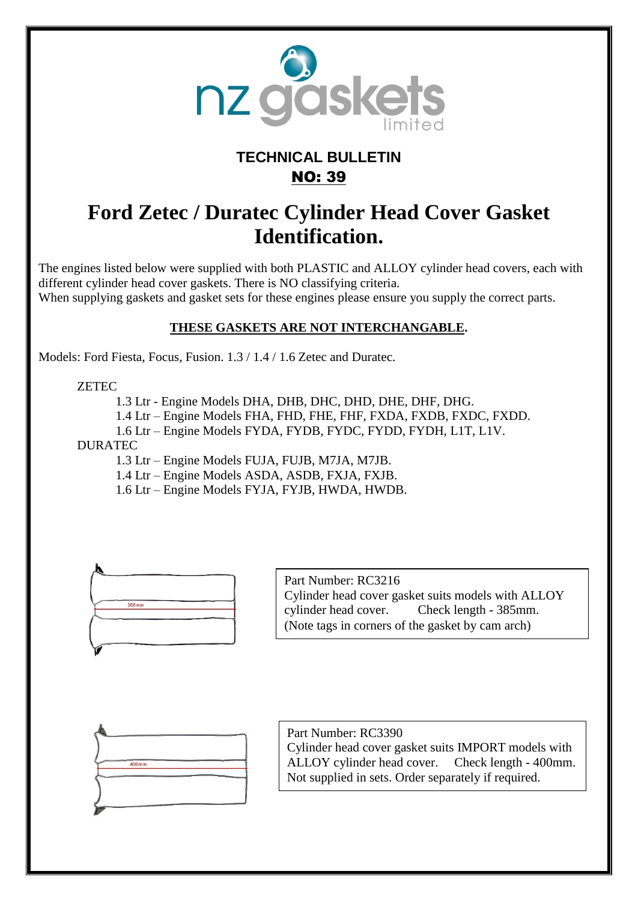

## **TECHNICAL BULLETIN** NO: 39

## **Ford Zetec / Duratec Cylinder Head Cover Gasket Identification.**

The engines listed below were supplied with both PLASTIC and ALLOY cylinder head covers, each with different cylinder head cover gaskets. There is NO classifying criteria. When supplying gaskets and gasket sets for these engines please ensure you supply the correct parts.

## **THESE GASKETS ARE NOT INTERCHANGABLE.**

Models: Ford Fiesta, Focus, Fusion. 1.3 / 1.4 / 1.6 Zetec and Duratec.

ZETEC

1.3 Ltr - Engine Models DHA, DHB, DHC, DHD, DHE, DHF, DHG.

1.4 Ltr – Engine Models FHA, FHD, FHE, FHF, FXDA, FXDB, FXDC, FXDD.

1.6 Ltr – Engine Models FYDA, FYDB, FYDC, FYDD, FYDH, L1T, L1V.

DURATEC

1.3 Ltr – Engine Models FUJA, FUJB, M7JA, M7JB.

1.4 Ltr – Engine Models ASDA, ASDB, FXJA, FXJB.

1.6 Ltr – Engine Models FYJA, FYJB, HWDA, HWDB.



Part Number: RC3216 Cylinder head cover gasket suits models with ALLOY cylinder head cover. Check length - 385mm. (Note tags in corners of the gasket by cam arch)



Part Number: RC3390 Cylinder head cover gasket suits IMPORT models with ALLOY cylinder head cover. Check length - 400mm. Not supplied in sets. Order separately if required.